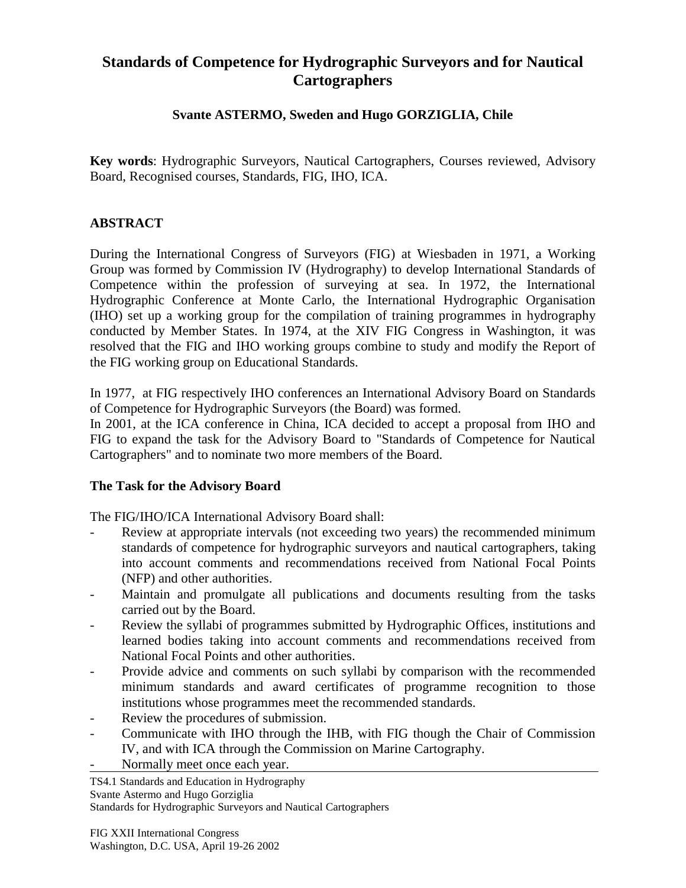# **Standards of Competence for Hydrographic Surveyors and for Nautical Cartographers**

### **Svante ASTERMO, Sweden and Hugo GORZIGLIA, Chile**

**Key words**: Hydrographic Surveyors, Nautical Cartographers, Courses reviewed, Advisory Board, Recognised courses, Standards, FIG, IHO, ICA.

### **ABSTRACT**

During the International Congress of Surveyors (FIG) at Wiesbaden in 1971, a Working Group was formed by Commission IV (Hydrography) to develop International Standards of Competence within the profession of surveying at sea. In 1972, the International Hydrographic Conference at Monte Carlo, the International Hydrographic Organisation (IHO) set up a working group for the compilation of training programmes in hydrography conducted by Member States. In 1974, at the XIV FIG Congress in Washington, it was resolved that the FIG and IHO working groups combine to study and modify the Report of the FIG working group on Educational Standards.

In 1977, at FIG respectively IHO conferences an International Advisory Board on Standards of Competence for Hydrographic Surveyors (the Board) was formed.

In 2001, at the ICA conference in China, ICA decided to accept a proposal from IHO and FIG to expand the task for the Advisory Board to "Standards of Competence for Nautical Cartographers" and to nominate two more members of the Board.

### **The Task for the Advisory Board**

The FIG/IHO/ICA International Advisory Board shall:

- Review at appropriate intervals (not exceeding two years) the recommended minimum standards of competence for hydrographic surveyors and nautical cartographers, taking into account comments and recommendations received from National Focal Points (NFP) and other authorities.
- Maintain and promulgate all publications and documents resulting from the tasks carried out by the Board.
- Review the syllabi of programmes submitted by Hydrographic Offices, institutions and learned bodies taking into account comments and recommendations received from National Focal Points and other authorities.
- Provide advice and comments on such syllabi by comparison with the recommended minimum standards and award certificates of programme recognition to those institutions whose programmes meet the recommended standards.
- Review the procedures of submission.
- Communicate with IHO through the IHB, with FIG though the Chair of Commission IV, and with ICA through the Commission on Marine Cartography.
- Normally meet once each year.

TS4.1 Standards and Education in Hydrography Svante Astermo and Hugo Gorziglia Standards for Hydrographic Surveyors and Nautical Cartographers